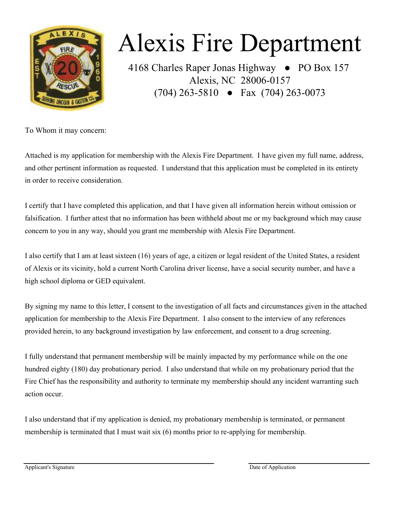

# Alexis Fire Department

4168 Charles Raper Jonas Highway ● PO Box 157 Alexis, NC 28006-0157 (704) 263-5810 ● Fax (704) 263-0073

To Whom it may concern:

in order to receive consideration. Attached is my application for membership with the Alexis Fire Department. I have given my full name, address, and other pertinent information as requested. I understand that this application must be completed in its entirety

I certify that I have completed this application, and that I have given all information herein without omission or falsification. I further attest that no information has been withheld about me or my background which may cause concern to you in any way, should you grant me membership with Alexis Fire Department.

I also certify that I am at least sixteen (16) years of age, a citizen or legal resident of the United States, a resident of Alexis or its vicinity, hold a current North Carolina driver license, have a social security number, and have a high school diploma or GED equivalent.

By signing my name to this letter, I consent to the investigation of all facts and circumstances given in the attached application for membership to the Alexis Fire Department. I also consent to the interview of any references provided herein, to any background investigation by law enforcement, and consent to a drug screening.

I fully understand that permanent membership will be mainly impacted by my performance while on the one hundred eighty (180) day probationary period. I also understand that while on my probationary period that the Fire Chief has the responsibility and authority to terminate my membership should any incident warranting such action occur.

I also understand that if my application is denied, my probationary membership is terminated, or permanent membership is terminated that I must wait six (6) months prior to re-applying for membership.

Applicant's Signature Date of Application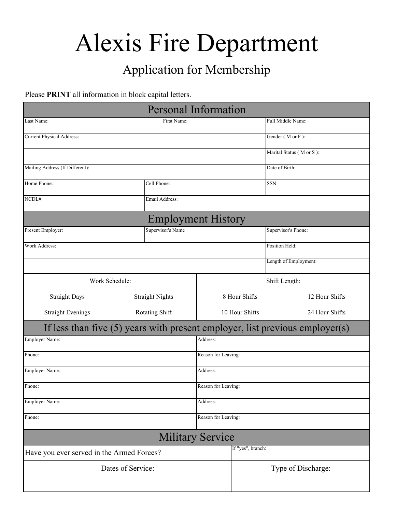# Alexis Fire Department

## Application for Membership

#### Please **PRINT** all information in block capital letters.

| <b>Personal Information</b>                                                  |                           |                     |                     |                          |  |
|------------------------------------------------------------------------------|---------------------------|---------------------|---------------------|--------------------------|--|
| Last Name:                                                                   | First Name:               |                     | Full Middle Name:   |                          |  |
| <b>Current Physical Address:</b>                                             |                           |                     | Gender (M or F):    |                          |  |
|                                                                              |                           |                     |                     | Marital Status (M or S): |  |
| Mailing Address (If Different):                                              |                           |                     |                     | Date of Birth:           |  |
| Home Phone:                                                                  | Cell Phone:               |                     |                     | SSN:                     |  |
| NCDL#:                                                                       | Email Address:            |                     |                     |                          |  |
|                                                                              | <b>Employment History</b> |                     |                     |                          |  |
| Supervisor's Name<br>Present Employer:                                       |                           |                     | Supervisor's Phone: |                          |  |
| Work Address:                                                                |                           |                     | Position Held:      |                          |  |
|                                                                              |                           |                     |                     | Length of Employment:    |  |
| Work Schedule:                                                               |                           | Shift Length:       |                     |                          |  |
| <b>Straight Days</b>                                                         | <b>Straight Nights</b>    |                     | 8 Hour Shifts       | 12 Hour Shifts           |  |
| <b>Straight Evenings</b>                                                     | Rotating Shift            | 10 Hour Shifts      |                     | 24 Hour Shifts           |  |
| If less than five (5) years with present employer, list previous employer(s) |                           |                     |                     |                          |  |
| Employer Name:                                                               |                           | Address:            |                     |                          |  |
| Phone:                                                                       |                           | Reason for Leaving: |                     |                          |  |
| Employer Name:                                                               |                           | Address:            |                     |                          |  |
| Phone:                                                                       |                           | Reason for Leaving: |                     |                          |  |
| <b>Employer Name:</b>                                                        |                           | Address:            |                     |                          |  |
| Phone:                                                                       |                           | Reason for Leaving: |                     |                          |  |
|                                                                              | <b>Military Service</b>   |                     |                     |                          |  |
| Have you ever served in the Armed Forces?                                    |                           |                     | If "yes", branch:   |                          |  |
| Dates of Service:                                                            |                           |                     | Type of Discharge:  |                          |  |
|                                                                              |                           |                     |                     |                          |  |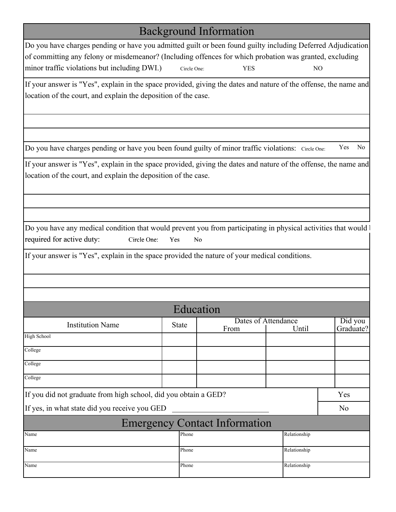## Background Information

| Do you have charges pending or have you admitted guilt or been found guilty including Deferred Adjudication |             |      |    |
|-------------------------------------------------------------------------------------------------------------|-------------|------|----|
| of committing any felony or misdemeanor? (Including offences for which probation was granted, excluding     |             |      |    |
| minor traffic violations but including DWI.)                                                                | Circle One: | YES. | NО |

If your answer is "Yes", explain in the space provided, giving the dates and nature of the offense, the name and location of the court, and explain the deposition of the case.

Do you have charges pending or have you been found guilty of minor traffic violations: Circle One: Yes No

If your answer is "Yes", explain in the space provided, giving the dates and nature of the offense, the name and location of the court, and explain the deposition of the case.

Do you have any medical condition that would prevent you from participating in physical activities that would b required for active duty: Circle One: Yes No

If your answer is "Yes", explain in the space provided the nature of your medical conditions.

|                                                                 |              | Education                            |              |                      |
|-----------------------------------------------------------------|--------------|--------------------------------------|--------------|----------------------|
| <b>Institution Name</b>                                         | <b>State</b> | Dates of Attendance<br>From          | Until        | Did you<br>Graduate? |
| High School                                                     |              |                                      |              |                      |
| College                                                         |              |                                      |              |                      |
| College                                                         |              |                                      |              |                      |
| College                                                         |              |                                      |              |                      |
| If you did not graduate from high school, did you obtain a GED? |              |                                      |              | Yes                  |
| If yes, in what state did you receive you GED                   |              |                                      |              | N <sub>o</sub>       |
|                                                                 |              | <b>Emergency Contact Information</b> |              |                      |
| Name                                                            | Phone        |                                      | Relationship |                      |
| Name                                                            | Phone        |                                      | Relationship |                      |
| Name                                                            | Phone        |                                      | Relationship |                      |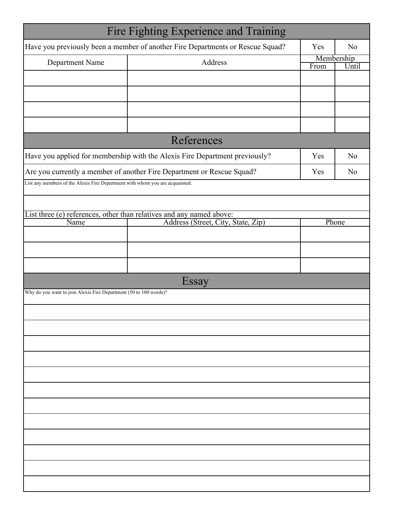|                                                                              | Fire Fighting Experience and Training                                                                      |                    |                |
|------------------------------------------------------------------------------|------------------------------------------------------------------------------------------------------------|--------------------|----------------|
|                                                                              | Have you previously been a member of another Fire Departments or Rescue Squad?                             | Yes                | N <sub>0</sub> |
| Department Name                                                              | Address                                                                                                    | Membership<br>From | Until          |
|                                                                              |                                                                                                            |                    |                |
|                                                                              |                                                                                                            |                    |                |
|                                                                              |                                                                                                            |                    |                |
|                                                                              |                                                                                                            |                    |                |
|                                                                              | References                                                                                                 |                    |                |
|                                                                              | Have you applied for membership with the Alexis Fire Department previously?                                | Yes                | N <sub>o</sub> |
|                                                                              | Are you currently a member of another Fire Department or Rescue Squad?                                     | Yes                | N <sub>0</sub> |
| List any members of the Alexis Fire Department with whom you are acquainted. |                                                                                                            |                    |                |
|                                                                              |                                                                                                            |                    |                |
| Name                                                                         | List three (e) references, other than relatives and any named above:<br>Address (Street, City, State, Zip) | Phone              |                |
|                                                                              |                                                                                                            |                    |                |
|                                                                              |                                                                                                            |                    |                |
|                                                                              |                                                                                                            |                    |                |
|                                                                              | Essay                                                                                                      |                    |                |
| Why do you want to join Alexis Fire Department (50 to 100 words)?            |                                                                                                            |                    |                |
|                                                                              |                                                                                                            |                    |                |
|                                                                              |                                                                                                            |                    |                |
|                                                                              |                                                                                                            |                    |                |
|                                                                              |                                                                                                            |                    |                |
|                                                                              |                                                                                                            |                    |                |
|                                                                              |                                                                                                            |                    |                |
|                                                                              |                                                                                                            |                    |                |
|                                                                              |                                                                                                            |                    |                |
|                                                                              |                                                                                                            |                    |                |
|                                                                              |                                                                                                            |                    |                |
|                                                                              |                                                                                                            |                    |                |
|                                                                              |                                                                                                            |                    |                |
|                                                                              |                                                                                                            |                    |                |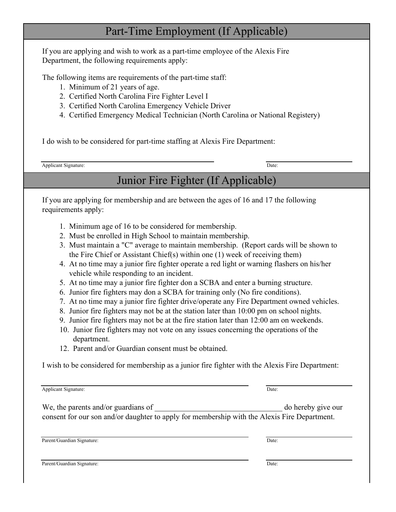### Part-Time Employment (If Applicable)

If you are applying and wish to work as a part-time employee of the Alexis Fire Department, the following requirements apply:

The following items are requirements of the part-time staff:

- 1. Minimum of 21 years of age.
- 2. Certified North Carolina Fire Fighter Level I
- 3. Certified North Carolina Emergency Vehicle Driver
- 4. Certified Emergency Medical Technician (North Carolina or National Registery)

I do wish to be considered for part-time staffing at Alexis Fire Department:

Applicant Signature: Date: Date: Date: Date: Date: Date: Date: Date: Date: Date: Date: Date: Date: Date: Date: Date: Date: Date: Date: Date: Date: Date: Date: Date: Date: Date: Date: Date: Date: Date: Date: Date: Date: Dat

## Junior Fire Fighter (If Applicable)

If you are applying for membership and are between the ages of 16 and 17 the following requirements apply:

- 1. Minimum age of 16 to be considered for membership.
- 2. Must be enrolled in High School to maintain membership.
- 3. Must maintain a "C" average to maintain membership. (Report cards will be shown to the Fire Chief or Assistant Chief(s) within one (1) week of receiving them)
- 4. At no time may a junior fire fighter operate a red light or warning flashers on his/her vehicle while responding to an incident.
- 5. At no time may a junior fire fighter don a SCBA and enter a burning structure.
- 6. Junior fire fighters may don a SCBA for training only (No fire conditions).
- 7. At no time may a junior fire fighter drive/operate any Fire Department owned vehicles.
- 8. Junior fire fighters may not be at the station later than 10:00 pm on school nights.
- 9. Junior fire fighters may not be at the fire station later than 12:00 am on weekends.
- 10. Junior fire fighters may not vote on any issues concerning the operations of the department.
- 12. Parent and/or Guardian consent must be obtained.

I wish to be considered for membership as a junior fire fighter with the Alexis Fire Department:

| <b>Applicant Signature:</b>                                                                                                         | Date: |                    |
|-------------------------------------------------------------------------------------------------------------------------------------|-------|--------------------|
| We, the parents and/or guardians of<br>consent for our son and/or daughter to apply for membership with the Alexis Fire Department. |       | do hereby give our |
| Parent/Guardian Signature:                                                                                                          | Date: |                    |

Parent/Guardian Signature: Date: Date: Date: Date: Date: Date: Date: Date: Date: Date: Date: Date: Date: Date: Date: Date: Date: Date: Date: Date: Date: Date: Date: Date: Date: Date: Date: Date: Date: Date: Date: Date: Dat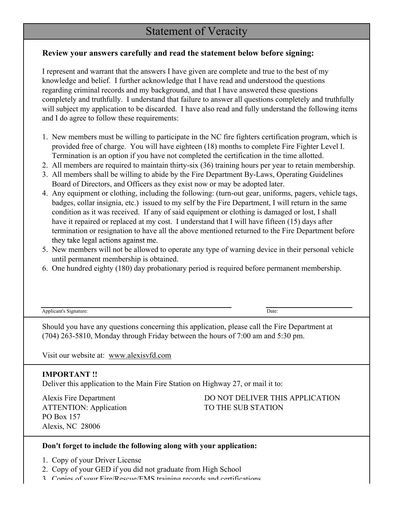### Statement of Veracity

#### **Review your answers carefully and read the statement below before signing:**

I represent and warrant that the answers I have given are complete and true to the best of my knowledge and belief. I further acknowledge that I have read and understood the questions regarding criminal records and my background, and that I have answered these questions and I do agree to follow these requirements: completely and truthfully. I understand that failure to answer all questions completely and truthfully will subject my application to be discarded. I have also read and fully understand the following items

- provided free of charge. You will have eighteen (18) months to complete Fire Fighter Level I. Termination is an option if you have not completed the certification in the time allotted. 1. New members must be willing to participate in the NC fire fighters certification program, which is
- 2. All members are required to maintain thirty-six (36) training hours per year to retain membership.
- 3. All members shall be willing to abide by the Fire Department By-Laws, Operating Guidelines Board of Directors, and Officers as they exist now or may be adopted later.
- termination or resignation to have all the above mentioned returned to the Fire Department before badges, collar insignia, etc.) issued to my self by the Fire Department, I will return in the same condition as it was received. If any of said equipment or clothing is damaged or lost, I shall have it repaired or replaced at my cost. I understand that I will have fifteen (15) days after 4. Any equipment or clothing, including the following: (turn-out gear, uniforms, pagers, vehicle tags, they take legal actions against me.
- 5. New members will not be allowed to operate any type of warning device in their personal vehicle until permanent membership is obtained.
- 6. One hundred eighty (180) day probationary period is required before permanent membership.

| Applicant<br>Signature | Date: |
|------------------------|-------|
|                        |       |

(704) 263-5810, Monday through Friday between the hours of 7:00 am and 5:30 pm. Should you have any questions concerning this application, please call the Fire Department at

Visit our website at: www.alexisvfd.com

#### **IMPORTANT !!**

Deliver this application to the Main Fire Station on Highway 27, or mail it to:

PO Box 157 Alexis, NC 28006 ATTENTION: Application TO THE SUB STATION

# Alexis Fire Department DO NOT DELIVER THIS APPLICATION

#### **Don't forget to include the following along with your application:**

- 1. Copy of your Driver License
- 2. Copy of your GED if you did not graduate from High School
- 3. Copies of your Fire/Rescue/EMS training records and certifications.